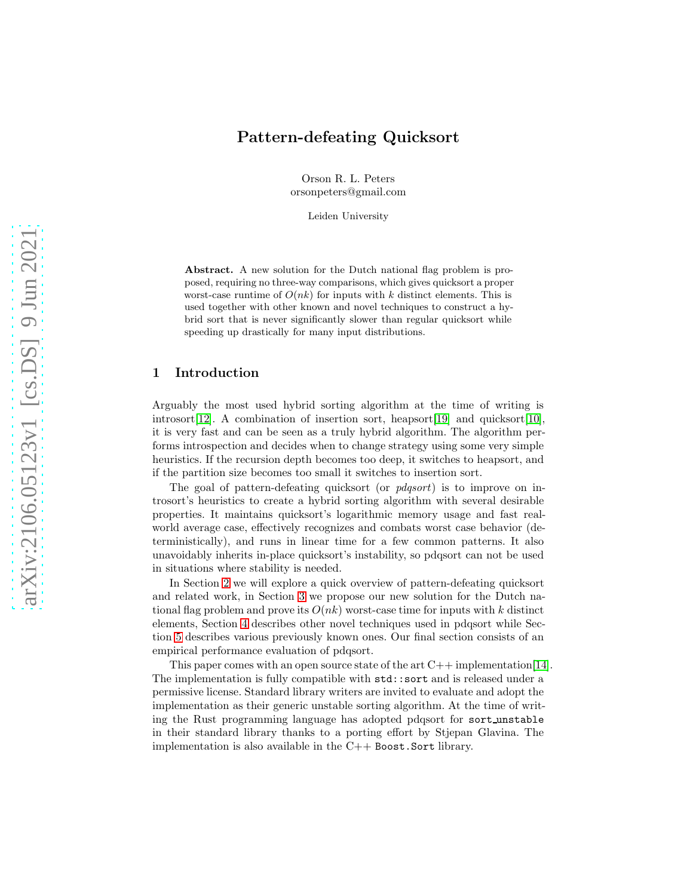# Pattern-defeating Quicksort

Orson R. L. Peters orsonpeters@gmail.com

Leiden University

Abstract. A new solution for the Dutch national flag problem is proposed, requiring no three-way comparisons, which gives quicksort a proper worst-case runtime of  $O(nk)$  for inputs with k distinct elements. This is used together with other known and novel techniques to construct a hybrid sort that is never significantly slower than regular quicksort while speeding up drastically for many input distributions.

# 1 Introduction

Arguably the most used hybrid sorting algorithm at the time of writing is introsort [\[12\]](#page-13-0). A combination of insertion sort, heapsort [\[19\]](#page-13-1) and quicksort [\[10\]](#page-13-2), it is very fast and can be seen as a truly hybrid algorithm. The algorithm performs introspection and decides when to change strategy using some very simple heuristics. If the recursion depth becomes too deep, it switches to heapsort, and if the partition size becomes too small it switches to insertion sort.

The goal of pattern-defeating quicksort (or *pdqsort*) is to improve on introsort's heuristics to create a hybrid sorting algorithm with several desirable properties. It maintains quicksort's logarithmic memory usage and fast realworld average case, effectively recognizes and combats worst case behavior (deterministically), and runs in linear time for a few common patterns. It also unavoidably inherits in-place quicksort's instability, so pdqsort can not be used in situations where stability is needed.

In Section [2](#page-1-0) we will explore a quick overview of pattern-defeating quicksort and related work, in Section [3](#page-1-1) we propose our new solution for the Dutch national flag problem and prove its  $O(nk)$  worst-case time for inputs with k distinct elements, Section [4](#page-5-0) describes other novel techniques used in pdqsort while Section [5](#page-8-0) describes various previously known ones. Our final section consists of an empirical performance evaluation of pdqsort.

This paper comes with an open source state of the art  $C++$  implementation[\[14\]](#page-13-3). The implementation is fully compatible with std::sort and is released under a permissive license. Standard library writers are invited to evaluate and adopt the implementation as their generic unstable sorting algorithm. At the time of writing the Rust programming language has adopted pdqsort for sort unstable in their standard library thanks to a porting effort by Stjepan Glavina. The implementation is also available in the  $C++$  Boost. Sort library.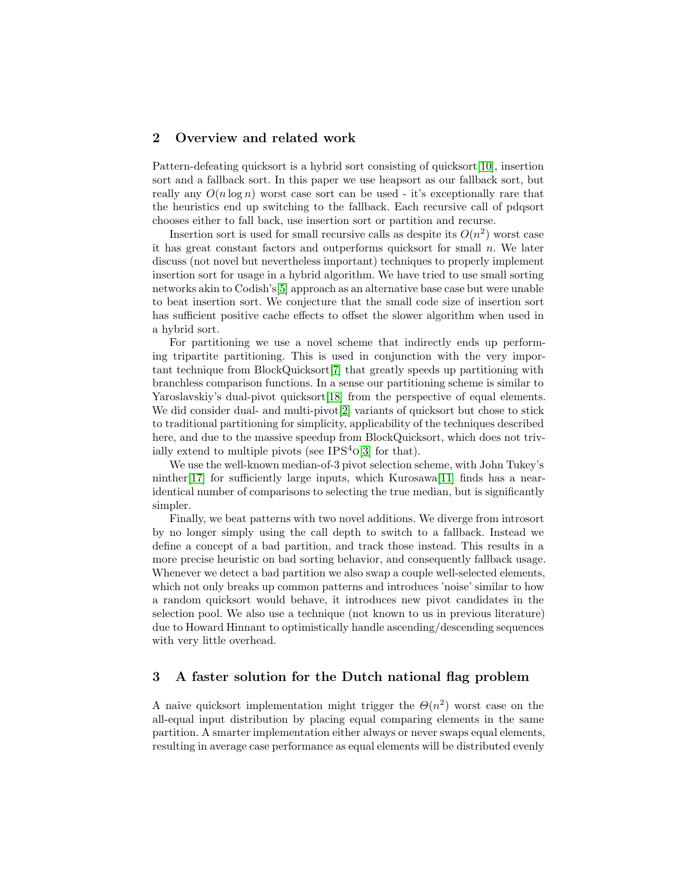# <span id="page-1-0"></span>2 Overview and related work

Pattern-defeating quicksort is a hybrid sort consisting of quicksort[\[10\]](#page-13-2), insertion sort and a fallback sort. In this paper we use heapsort as our fallback sort, but really any  $O(n \log n)$  worst case sort can be used - it's exceptionally rare that the heuristics end up switching to the fallback. Each recursive call of pdqsort chooses either to fall back, use insertion sort or partition and recurse.

Insertion sort is used for small recursive calls as despite its  $O(n^2)$  worst case it has great constant factors and outperforms quicksort for small  $n$ . We later discuss (not novel but nevertheless important) techniques to properly implement insertion sort for usage in a hybrid algorithm. We have tried to use small sorting networks akin to Codish's[\[5\]](#page-13-4) approach as an alternative base case but were unable to beat insertion sort. We conjecture that the small code size of insertion sort has sufficient positive cache effects to offset the slower algorithm when used in a hybrid sort.

For partitioning we use a novel scheme that indirectly ends up performing tripartite partitioning. This is used in conjunction with the very important technique from BlockQuicksort[\[7\]](#page-13-5) that greatly speeds up partitioning with branchless comparison functions. In a sense our partitioning scheme is similar to Yaroslavskiy's dual-pivot quicksort [\[18\]](#page-13-6) from the perspective of equal elements. We did consider dual- and multi-pivot<sup>[\[2\]](#page-13-7)</sup> variants of quicksort but chose to stick to traditional partitioning for simplicity, applicability of the techniques described here, and due to the massive speedup from BlockQuicksort, which does not trivially extend to multiple pivots (see  $IPS<sup>4</sup>0[3]$  $IPS<sup>4</sup>0[3]$  for that).

We use the well-known median-of-3 pivot selection scheme, with John Tukey's ninther[\[17\]](#page-13-9) for sufficiently large inputs, which Kurosawa[\[11\]](#page-13-10) finds has a nearidentical number of comparisons to selecting the true median, but is significantly simpler.

Finally, we beat patterns with two novel additions. We diverge from introsort by no longer simply using the call depth to switch to a fallback. Instead we define a concept of a bad partition, and track those instead. This results in a more precise heuristic on bad sorting behavior, and consequently fallback usage. Whenever we detect a bad partition we also swap a couple well-selected elements, which not only breaks up common patterns and introduces 'noise' similar to how a random quicksort would behave, it introduces new pivot candidates in the selection pool. We also use a technique (not known to us in previous literature) due to Howard Hinnant to optimistically handle ascending/descending sequences with very little overhead.

## <span id="page-1-1"></span>3 A faster solution for the Dutch national flag problem

A naive quicksort implementation might trigger the  $\Theta(n^2)$  worst case on the all-equal input distribution by placing equal comparing elements in the same partition. A smarter implementation either always or never swaps equal elements, resulting in average case performance as equal elements will be distributed evenly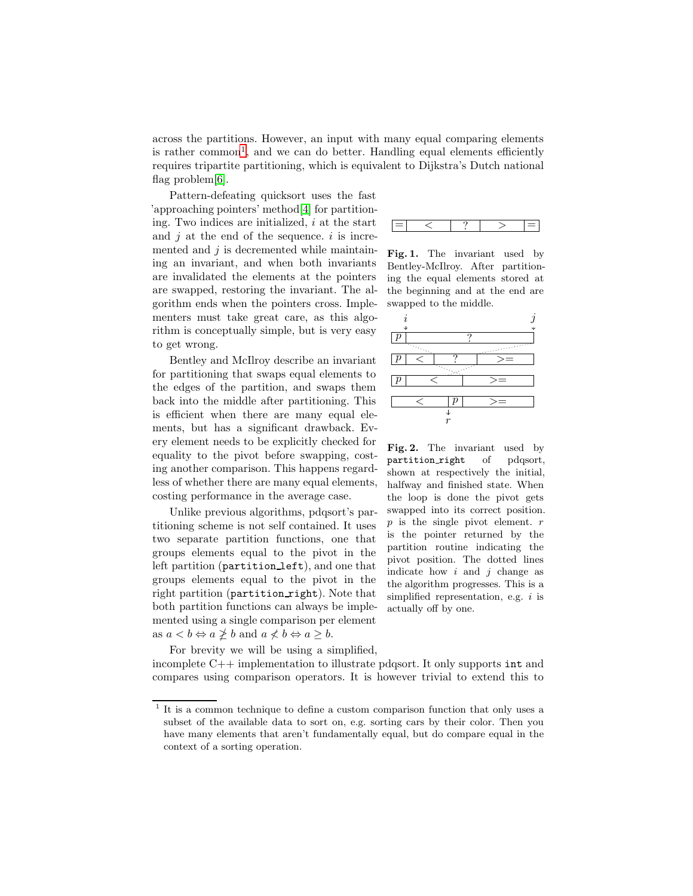across the partitions. However, an input with many equal comparing elements is rather common<sup>[1](#page-2-0)</sup>, and we can do better. Handling equal elements efficiently requires tripartite partitioning, which is equivalent to Dijkstra's Dutch national flag problem[\[6\]](#page-13-11).

Pattern-defeating quicksort uses the fast 'approaching pointers' method[\[4\]](#page-13-12) for partitioning. Two indices are initialized,  $i$  at the start and  $j$  at the end of the sequence.  $i$  is incremented and  $j$  is decremented while maintaining an invariant, and when both invariants are invalidated the elements at the pointers are swapped, restoring the invariant. The algorithm ends when the pointers cross. Implementers must take great care, as this algorithm is conceptually simple, but is very easy to get wrong.

Bentley and McIlroy describe an invariant for partitioning that swaps equal elements to the edges of the partition, and swaps them back into the middle after partitioning. This is efficient when there are many equal elements, but has a significant drawback. Every element needs to be explicitly checked for equality to the pivot before swapping, costing another comparison. This happens regardless of whether there are many equal elements, costing performance in the average case.

Unlike previous algorithms, pdqsort's partitioning scheme is not self contained. It uses two separate partition functions, one that groups elements equal to the pivot in the left partition (partition left), and one that groups elements equal to the pivot in the right partition (partition right). Note that both partition functions can always be implemented using a single comparison per element as  $a < b \Leftrightarrow a \ngeq b$  and  $a \nleq b \Leftrightarrow a \geq b$ .

For brevity we will be using a simplified, incomplete  $C++$  implementation to illustrate pdqsort. It only supports int and compares using comparison operators. It is however trivial to extend this to



Fig. 1. The invariant used by Bentley-McIlroy. After partitioning the equal elements stored at the beginning and at the end are swapped to the middle.



Fig. 2. The invariant used by partition right of pdqsort, shown at respectively the initial, halfway and finished state. When the loop is done the pivot gets swapped into its correct position.  $p$  is the single pivot element.  $r$ is the pointer returned by the partition routine indicating the pivot position. The dotted lines indicate how  $i$  and  $j$  change as the algorithm progresses. This is a simplified representation, e.g.  $i$  is actually off by one.

<span id="page-2-0"></span><sup>&</sup>lt;sup>1</sup> It is a common technique to define a custom comparison function that only uses a subset of the available data to sort on, e.g. sorting cars by their color. Then you have many elements that aren't fundamentally equal, but do compare equal in the context of a sorting operation.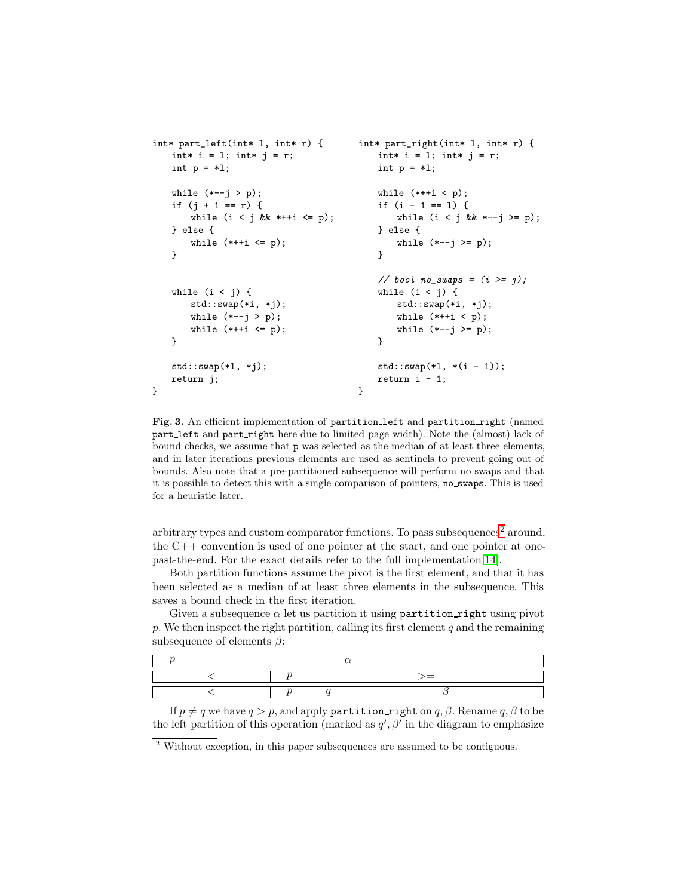```
int* part_left(int* l, int* r) { int* part_right(int* l, int* r) {
  int* i = 1; int* j = r; int* int* i = 1; int* j = r;
  int p = *1; int p = *1;
  while (*-j > p); while (*++i < p);
  if (j + 1 == r) { if (i - 1 == 1) {
    while (i \lt j \& *++i \lt = p); while (i \lt j \& *--j \gt = p);} else { } else {
    while (**+ i \le p); while (*-j \ge p);
  } }
                           // bool no_swaps = (i \geq j);
  while (i < j) { while (i < j) {
    std::swap(*i, *j); std::swap(*i, *j);
    while (*-j > p);<br>while (*+i < p);<br>while (*+i < p);<br>while (*-j > p)while (*-j \ge p);
  } }
  std::swap(*1, *j); std::swap(*1, *(i - 1));return j; r = 1;
} }
```
Fig. 3. An efficient implementation of partition left and partition right (named part left and part right here due to limited page width). Note the (almost) lack of bound checks, we assume that p was selected as the median of at least three elements, and in later iterations previous elements are used as sentinels to prevent going out of bounds. Also note that a pre-partitioned subsequence will perform no swaps and that it is possible to detect this with a single comparison of pointers, no swaps. This is used for a heuristic later.

arbitrary types and custom comparator functions. To pass subsequences<sup>[2](#page-3-0)</sup> around, the C++ convention is used of one pointer at the start, and one pointer at onepast-the-end. For the exact details refer to the full implementation[\[14\]](#page-13-3).

Both partition functions assume the pivot is the first element, and that it has been selected as a median of at least three elements in the subsequence. This saves a bound check in the first iteration.

Given a subsequence  $\alpha$  let us partition it using partition right using pivot  $p.$  We then inspect the right partition, calling its first element  $q$  and the remaining subsequence of elements  $\beta$ :

If  $p \neq q$  we have  $q > p$ , and apply partition right on q,  $\beta$ . Rename q,  $\beta$  to be the left partition of this operation (marked as  $q', \beta'$  in the diagram to emphasize

<span id="page-3-0"></span> $^{\rm 2}$  Without exception, in this paper subsequences are assumed to be contiguous.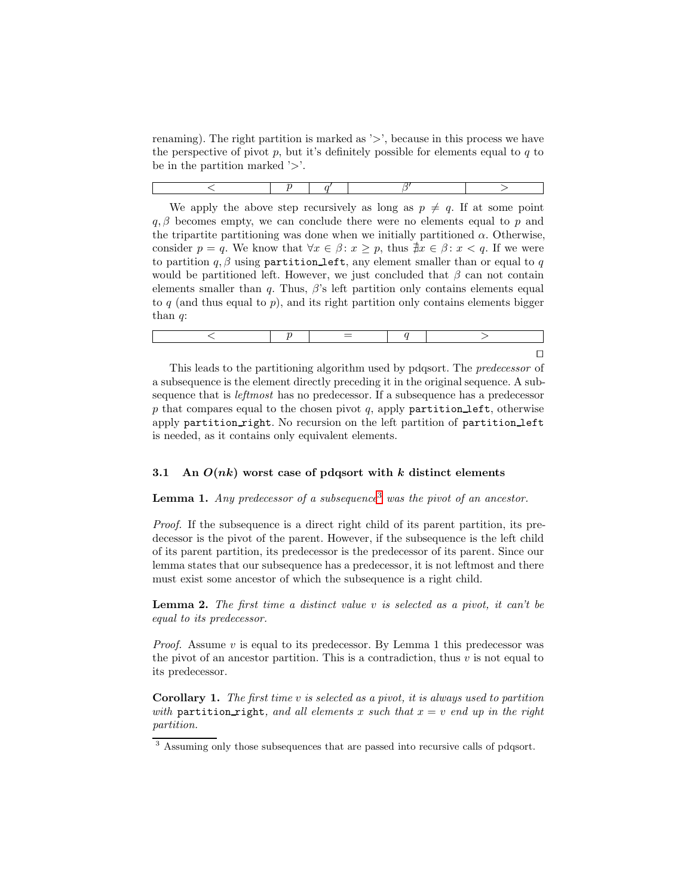renaming). The right partition is marked as '>', because in this process we have the perspective of pivot  $p$ , but it's definitely possible for elements equal to  $q$  to be in the partition marked '>'.

We apply the above step recursively as long as  $p \neq q$ . If at some point  $q, \beta$  becomes empty, we can conclude there were no elements equal to p and the tripartite partitioning was done when we initially partitioned  $\alpha$ . Otherwise, consider  $p = q$ . We know that  $\forall x \in \beta : x \geq p$ , thus  $\nexists x \in \beta : x < q$ . If we were to partition q,  $\beta$  using partition left, any element smaller than or equal to q would be partitioned left. However, we just concluded that  $\beta$  can not contain elements smaller than q. Thus,  $\beta$ 's left partition only contains elements equal to  $q$  (and thus equal to  $p$ ), and its right partition only contains elements bigger than  $q$ :

This leads to the partitioning algorithm used by pdqsort. The *predecessor* of a subsequence is the element directly preceding it in the original sequence. A subsequence that is leftmost has no predecessor. If a subsequence has a predecessor p that compares equal to the chosen pivot q, apply partition left, otherwise apply partition\_right. No recursion on the left partition of partition\_left is needed, as it contains only equivalent elements.

## 3.1 An  $O(nk)$  worst case of pdqsort with  $k$  distinct elements

# **Lemma 1.** Any predecessor of a subsequence<sup>[3](#page-4-0)</sup> was the pivot of an ancestor.

Proof. If the subsequence is a direct right child of its parent partition, its predecessor is the pivot of the parent. However, if the subsequence is the left child of its parent partition, its predecessor is the predecessor of its parent. Since our lemma states that our subsequence has a predecessor, it is not leftmost and there must exist some ancestor of which the subsequence is a right child.

**Lemma 2.** The first time a distinct value  $v$  is selected as a pivot, it can't be equal to its predecessor.

*Proof.* Assume v is equal to its predecessor. By Lemma 1 this predecessor was the pivot of an ancestor partition. This is a contradiction, thus  $v$  is not equal to its predecessor.

**Corollary 1.** The first time v is selected as a pivot, it is always used to partition with partition right, and all elements x such that  $x = v$  end up in the right partition.

<span id="page-4-0"></span><sup>3</sup> Assuming only those subsequences that are passed into recursive calls of pdqsort.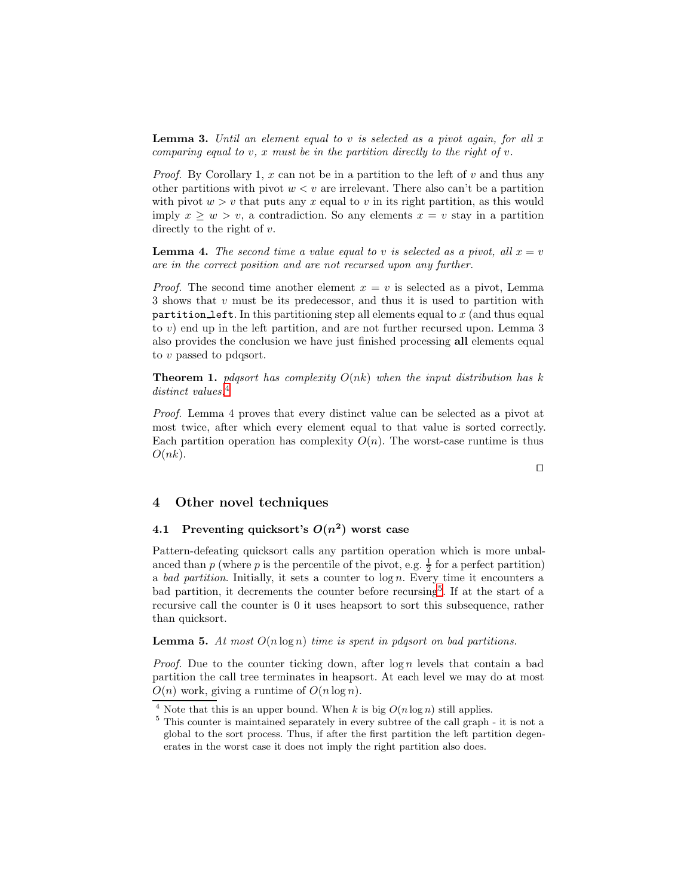**Lemma 3.** Until an element equal to v is selected as a pivot again, for all x comparing equal to  $v, x$  must be in the partition directly to the right of  $v$ .

*Proof.* By Corollary 1,  $x$  can not be in a partition to the left of  $v$  and thus any other partitions with pivot  $w < v$  are irrelevant. There also can't be a partition with pivot  $w > v$  that puts any x equal to v in its right partition, as this would imply  $x \geq w > v$ , a contradiction. So any elements  $x = v$  stay in a partition directly to the right of v.

**Lemma 4.** The second time a value equal to v is selected as a pivot, all  $x = v$ are in the correct position and are not recursed upon any further.

*Proof.* The second time another element  $x = v$  is selected as a pivot, Lemma 3 shows that  $v$  must be its predecessor, and thus it is used to partition with partition left. In this partitioning step all elements equal to  $x$  (and thus equal to v) end up in the left partition, and are not further recursed upon. Lemma 3 also provides the conclusion we have just finished processing all elements equal to v passed to pdqsort.

**Theorem 1.** pdgsort has complexity  $O(nk)$  when the input distribution has k distinct values.<sup>[4](#page-5-1)</sup>

Proof. Lemma 4 proves that every distinct value can be selected as a pivot at most twice, after which every element equal to that value is sorted correctly. Each partition operation has complexity  $O(n)$ . The worst-case runtime is thus  $O(nk)$ .

#### ⊓⊔

# <span id="page-5-0"></span>4 Other novel techniques

# 4.1 Preventing quicksort's  $O(n^2)$  worst case

Pattern-defeating quicksort calls any partition operation which is more unbalanced than p (where p is the percentile of the pivot, e.g.  $\frac{1}{2}$  for a perfect partition) a bad partition. Initially, it sets a counter to  $\log n$ . Every time it encounters a bad partition, it decrements the counter before recursing<sup>[5](#page-5-2)</sup>. If at the start of a recursive call the counter is 0 it uses heapsort to sort this subsequence, rather than quicksort.

**Lemma 5.** At most  $O(n \log n)$  time is spent in pdgsort on bad partitions.

*Proof.* Due to the counter ticking down, after  $\log n$  levels that contain a bad partition the call tree terminates in heapsort. At each level we may do at most  $O(n)$  work, giving a runtime of  $O(n \log n)$ .

<sup>&</sup>lt;sup>4</sup> Note that this is an upper bound. When k is big  $O(n \log n)$  still applies.

<span id="page-5-2"></span><span id="page-5-1"></span><sup>5</sup> This counter is maintained separately in every subtree of the call graph - it is not a global to the sort process. Thus, if after the first partition the left partition degenerates in the worst case it does not imply the right partition also does.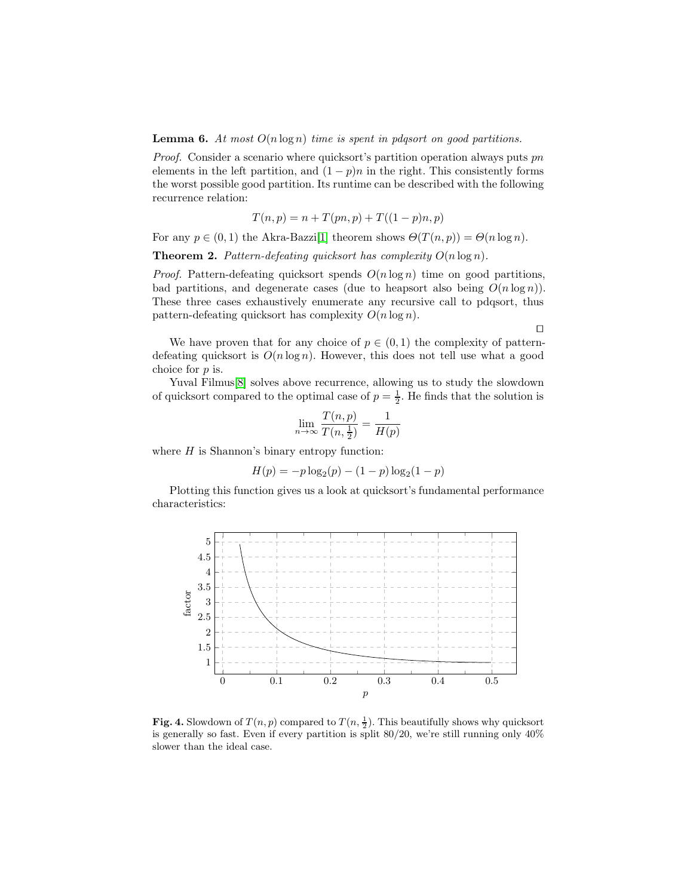**Lemma 6.** At most  $O(n \log n)$  time is spent in pdqsort on good partitions.

Proof. Consider a scenario where quicksort's partition operation always puts pn elements in the left partition, and  $(1 - p)n$  in the right. This consistently forms the worst possible good partition. Its runtime can be described with the following recurrence relation:

$$
T(n, p) = n + T(pn, p) + T((1 - p)n, p)
$$

For any  $p \in (0,1)$  the Akra-Bazzi<sup>[\[1\]](#page-13-13)</sup> theorem shows  $\Theta(T(n,p)) = \Theta(n \log n)$ .

**Theorem 2.** Pattern-defeating quicksort has complexity  $O(n \log n)$ .

*Proof.* Pattern-defeating quicksort spends  $O(n \log n)$  time on good partitions, bad partitions, and degenerate cases (due to heapsort also being  $O(n \log n)$ ). These three cases exhaustively enumerate any recursive call to pdqsort, thus pattern-defeating quicksort has complexity  $O(n \log n)$ .

⊓⊔

We have proven that for any choice of  $p \in (0,1)$  the complexity of patterndefeating quicksort is  $O(n \log n)$ . However, this does not tell use what a good choice for  $p$  is.

Yuval Filmus<sup>[\[8\]](#page-13-14)</sup> solves above recurrence, allowing us to study the slowdown of quicksort compared to the optimal case of  $p = \frac{1}{2}$ . He finds that the solution is

$$
\lim_{n \to \infty} \frac{T(n, p)}{T(n, \frac{1}{2})} = \frac{1}{H(p)}
$$

where  $H$  is Shannon's binary entropy function:

$$
H(p) = -p \log_2(p) - (1-p) \log_2(1-p)
$$

Plotting this function gives us a look at quicksort's fundamental performance characteristics:



<span id="page-6-0"></span>Fig. 4. Slowdown of  $T(n, p)$  compared to  $T(n, \frac{1}{2})$ . This beautifully shows why quicksort is generally so fast. Even if every partition is split  $80/20$ , we're still running only  $40\%$ slower than the ideal case.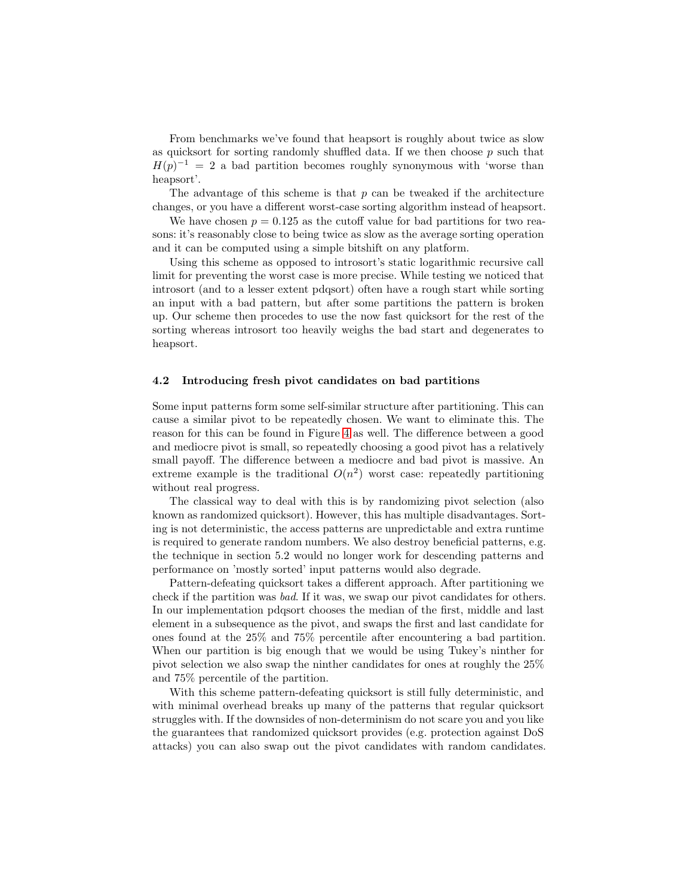From benchmarks we've found that heapsort is roughly about twice as slow as quicksort for sorting randomly shuffled data. If we then choose  $p$  such that  $H(p)^{-1} = 2$  a bad partition becomes roughly synonymous with 'worse than heapsort'.

The advantage of this scheme is that  $p$  can be tweaked if the architecture changes, or you have a different worst-case sorting algorithm instead of heapsort.

We have chosen  $p = 0.125$  as the cutoff value for bad partitions for two reasons: it's reasonably close to being twice as slow as the average sorting operation and it can be computed using a simple bitshift on any platform.

Using this scheme as opposed to introsort's static logarithmic recursive call limit for preventing the worst case is more precise. While testing we noticed that introsort (and to a lesser extent pdqsort) often have a rough start while sorting an input with a bad pattern, but after some partitions the pattern is broken up. Our scheme then procedes to use the now fast quicksort for the rest of the sorting whereas introsort too heavily weighs the bad start and degenerates to heapsort.

#### 4.2 Introducing fresh pivot candidates on bad partitions

Some input patterns form some self-similar structure after partitioning. This can cause a similar pivot to be repeatedly chosen. We want to eliminate this. The reason for this can be found in Figure [4](#page-6-0) as well. The difference between a good and mediocre pivot is small, so repeatedly choosing a good pivot has a relatively small payoff. The difference between a mediocre and bad pivot is massive. An extreme example is the traditional  $O(n^2)$  worst case: repeatedly partitioning without real progress.

The classical way to deal with this is by randomizing pivot selection (also known as randomized quicksort). However, this has multiple disadvantages. Sorting is not deterministic, the access patterns are unpredictable and extra runtime is required to generate random numbers. We also destroy beneficial patterns, e.g. the technique in section 5.2 would no longer work for descending patterns and performance on 'mostly sorted' input patterns would also degrade.

Pattern-defeating quicksort takes a different approach. After partitioning we check if the partition was bad. If it was, we swap our pivot candidates for others. In our implementation pdqsort chooses the median of the first, middle and last element in a subsequence as the pivot, and swaps the first and last candidate for ones found at the 25% and 75% percentile after encountering a bad partition. When our partition is big enough that we would be using Tukey's ninther for pivot selection we also swap the ninther candidates for ones at roughly the 25% and 75% percentile of the partition.

With this scheme pattern-defeating quicksort is still fully deterministic, and with minimal overhead breaks up many of the patterns that regular quicksort struggles with. If the downsides of non-determinism do not scare you and you like the guarantees that randomized quicksort provides (e.g. protection against DoS attacks) you can also swap out the pivot candidates with random candidates.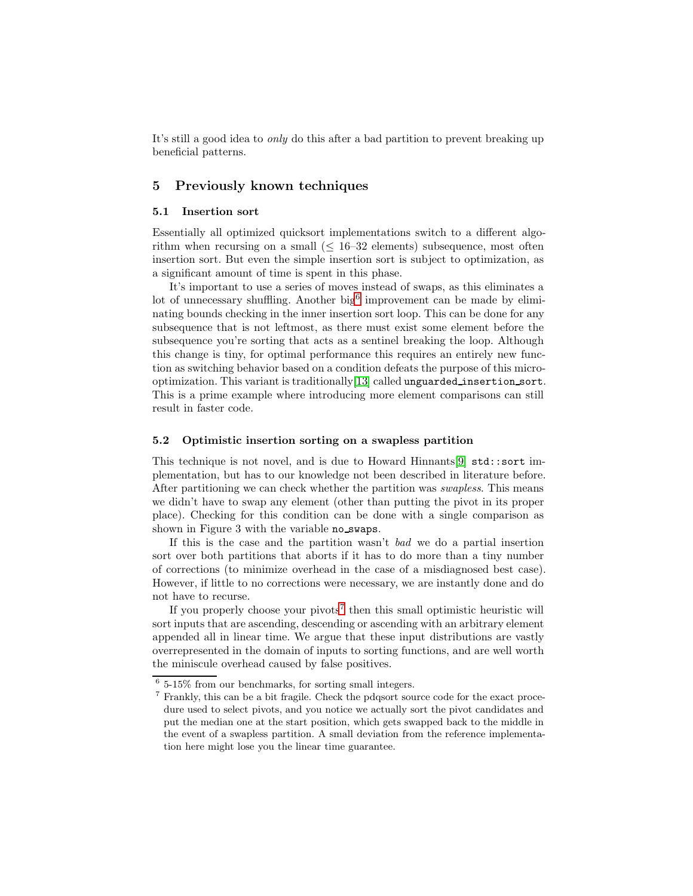It's still a good idea to *only* do this after a bad partition to prevent breaking up beneficial patterns.

# <span id="page-8-0"></span>5 Previously known techniques

### 5.1 Insertion sort

Essentially all optimized quicksort implementations switch to a different algorithm when recursing on a small  $(\leq 16-32)$  elements) subsequence, most often insertion sort. But even the simple insertion sort is subject to optimization, as a significant amount of time is spent in this phase.

It's important to use a series of moves instead of swaps, as this eliminates a lot of unnecessary shuffling. Another big<sup>[6](#page-8-1)</sup> improvement can be made by eliminating bounds checking in the inner insertion sort loop. This can be done for any subsequence that is not leftmost, as there must exist some element before the subsequence you're sorting that acts as a sentinel breaking the loop. Although this change is tiny, for optimal performance this requires an entirely new function as switching behavior based on a condition defeats the purpose of this microoptimization. This variant is traditionally[\[13\]](#page-13-15) called unguarded insertion sort. This is a prime example where introducing more element comparisons can still result in faster code.

### 5.2 Optimistic insertion sorting on a swapless partition

This technique is not novel, and is due to Howard Hinnants[\[9\]](#page-13-16)  $\text{std}$ ::sort implementation, but has to our knowledge not been described in literature before. After partitioning we can check whether the partition was swapless. This means we didn't have to swap any element (other than putting the pivot in its proper place). Checking for this condition can be done with a single comparison as shown in Figure 3 with the variable no swaps.

If this is the case and the partition wasn't bad we do a partial insertion sort over both partitions that aborts if it has to do more than a tiny number of corrections (to minimize overhead in the case of a misdiagnosed best case). However, if little to no corrections were necessary, we are instantly done and do not have to recurse.

If you properly choose your pivots<sup>[7](#page-8-2)</sup> then this small optimistic heuristic will sort inputs that are ascending, descending or ascending with an arbitrary element appended all in linear time. We argue that these input distributions are vastly overrepresented in the domain of inputs to sorting functions, and are well worth the miniscule overhead caused by false positives.

 $6\,$  5-15% from our benchmarks, for sorting small integers.

<span id="page-8-2"></span><span id="page-8-1"></span><sup>7</sup> Frankly, this can be a bit fragile. Check the pdqsort source code for the exact procedure used to select pivots, and you notice we actually sort the pivot candidates and put the median one at the start position, which gets swapped back to the middle in the event of a swapless partition. A small deviation from the reference implementation here might lose you the linear time guarantee.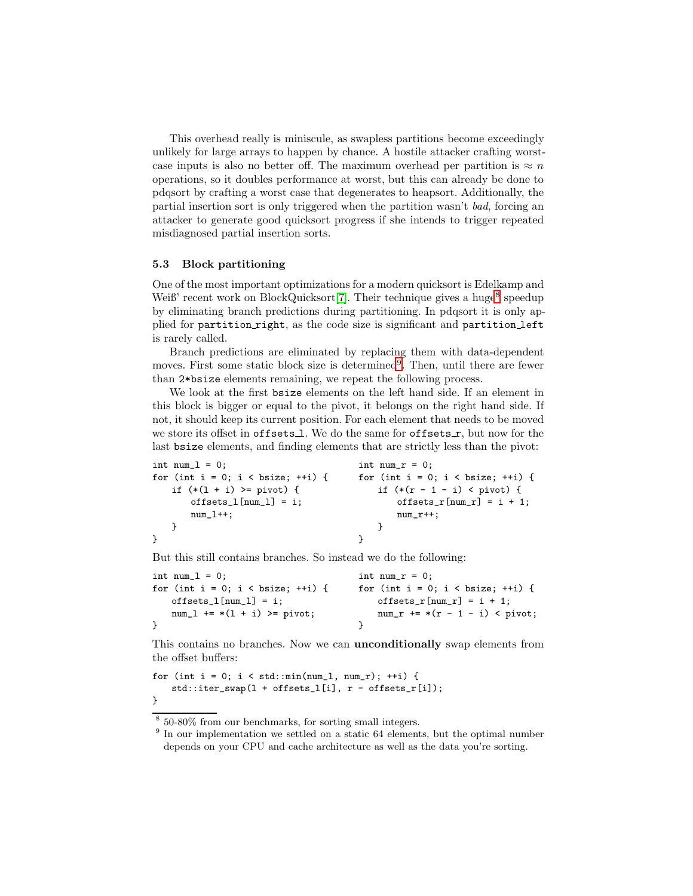This overhead really is miniscule, as swapless partitions become exceedingly unlikely for large arrays to happen by chance. A hostile attacker crafting worstcase inputs is also no better off. The maximum overhead per partition is  $\approx n$ operations, so it doubles performance at worst, but this can already be done to pdqsort by crafting a worst case that degenerates to heapsort. Additionally, the partial insertion sort is only triggered when the partition wasn't bad, forcing an attacker to generate good quicksort progress if she intends to trigger repeated misdiagnosed partial insertion sorts.

#### 5.3 Block partitioning

One of the most important optimizations for a modern quicksort is Edelkamp and Weiß' recent work on BlockQuicksort[\[7\]](#page-13-5). Their technique gives a huge<sup>[8](#page-9-0)</sup> speedup by eliminating branch predictions during partitioning. In pdqsort it is only applied for partition right, as the code size is significant and partition left is rarely called.

Branch predictions are eliminated by replacing them with data-dependent moves. First some static block size is determined<sup>[9](#page-9-1)</sup>. Then, until there are fewer than 2\*bsize elements remaining, we repeat the following process.

We look at the first bsize elements on the left hand side. If an element in this block is bigger or equal to the pivot, it belongs on the right hand side. If not, it should keep its current position. For each element that needs to be moved we store its offset in offsets 1. We do the same for offsets r, but now for the last bsize elements, and finding elements that are strictly less than the pivot:

```
int num_l = 0; int num_r = 0;for (int i = 0; i < bsize; ++i) { for (int i = 0; i < bsize; ++i) {
  if (*(1 + i) >= pivot) { if (*(r - 1 - i) < pivot) {
    offsets_l[num_l] = i; offsets_r[num_r] = i + 1;
    num_l++; num_r++;
  } }
} }
```
But this still contains branches. So instead we do the following:

```
int num_l = 0; int num_r = 0;for (int i = 0; i \leq bsize; +i) { for (int i = 0; i \leq bsize; +i) {
  offsets_l[num_l] = i; offsets_r[num_r] = i + 1;num_1 += *(1 + i) >= pivot; num_r += *(r - 1 - i) < pivot;} }
```
This contains no branches. Now we can unconditionally swap elements from the offset buffers:

```
for (int i = 0; i < std: min(num_1, num_r); ++i) {
   std::iter_swap(l + offsets_l[i], r - offsets_r[i]);
}
```
8 50-80% from our benchmarks, for sorting small integers.

<span id="page-9-1"></span><span id="page-9-0"></span><sup>&</sup>lt;sup>9</sup> In our implementation we settled on a static 64 elements, but the optimal number depends on your CPU and cache architecture as well as the data you're sorting.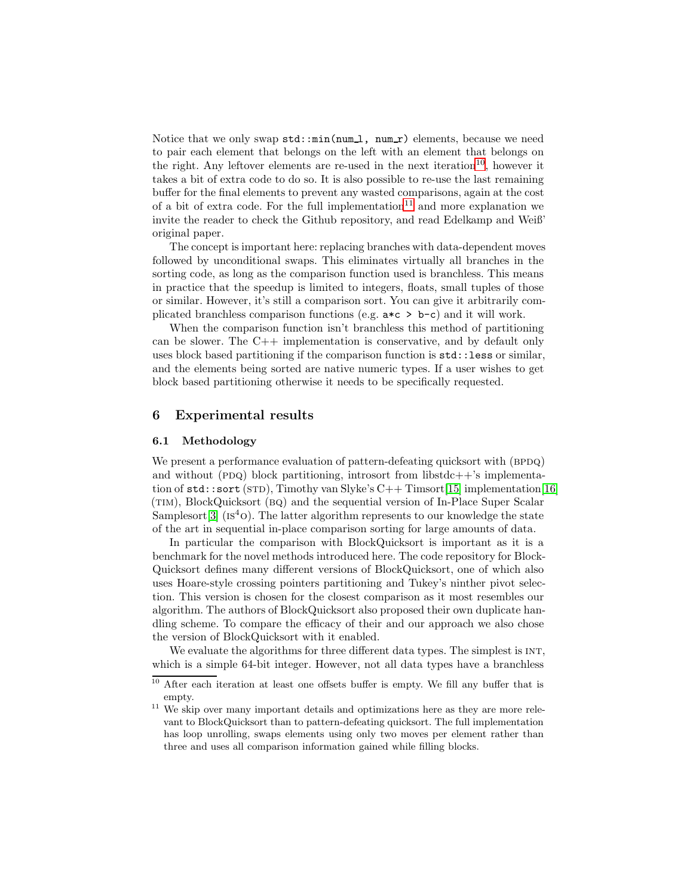Notice that we only swap  $\text{std}:\min(\text{num}\_1, \text{num}\_r)$  elements, because we need to pair each element that belongs on the left with an element that belongs on the right. Any leftover elements are re-used in the next iteration<sup>[10](#page-10-0)</sup>, however it takes a bit of extra code to do so. It is also possible to re-use the last remaining buffer for the final elements to prevent any wasted comparisons, again at the cost of a bit of extra code. For the full implementation<sup>[11](#page-10-1)</sup> and more explanation we invite the reader to check the Github repository, and read Edelkamp and Weiß' original paper.

The concept is important here: replacing branches with data-dependent moves followed by unconditional swaps. This eliminates virtually all branches in the sorting code, as long as the comparison function used is branchless. This means in practice that the speedup is limited to integers, floats, small tuples of those or similar. However, it's still a comparison sort. You can give it arbitrarily complicated branchless comparison functions (e.g.  $a \star c > b - c$ ) and it will work.

When the comparison function isn't branchless this method of partitioning can be slower. The C++ implementation is conservative, and by default only uses block based partitioning if the comparison function is std::less or similar, and the elements being sorted are native numeric types. If a user wishes to get block based partitioning otherwise it needs to be specifically requested.

### 6 Experimental results

#### 6.1 Methodology

We present a performance evaluation of pattern-defeating quicksort with (BPDQ) and without (PDQ) block partitioning, introsort from libstdc++ $\dot{\ }$ s implementation of  $\texttt{std::sort}$  (STD), Timothy van Slyke's  $C_{++}$  Timsort[\[15\]](#page-13-17) implementation[\[16\]](#page-13-18) (TIM), BlockQuicksort (BQ) and the sequential version of In-Place Super Scalar Samplesort  $[3]$  ( $Is<sup>4</sup>$ o). The latter algorithm represents to our knowledge the state of the art in sequential in-place comparison sorting for large amounts of data.

In particular the comparison with BlockQuicksort is important as it is a benchmark for the novel methods introduced here. The code repository for Block-Quicksort defines many different versions of BlockQuicksort, one of which also uses Hoare-style crossing pointers partitioning and Tukey's ninther pivot selection. This version is chosen for the closest comparison as it most resembles our algorithm. The authors of BlockQuicksort also proposed their own duplicate handling scheme. To compare the efficacy of their and our approach we also chose the version of BlockQuicksort with it enabled.

We evaluate the algorithms for three different data types. The simplest is INT, which is a simple 64-bit integer. However, not all data types have a branchless

 $\frac{10}{10}$  After each iteration at least one offsets buffer is empty. We fill any buffer that is empty.

<span id="page-10-1"></span><span id="page-10-0"></span><sup>&</sup>lt;sup>11</sup> We skip over many important details and optimizations here as they are more relevant to BlockQuicksort than to pattern-defeating quicksort. The full implementation has loop unrolling, swaps elements using only two moves per element rather than three and uses all comparison information gained while filling blocks.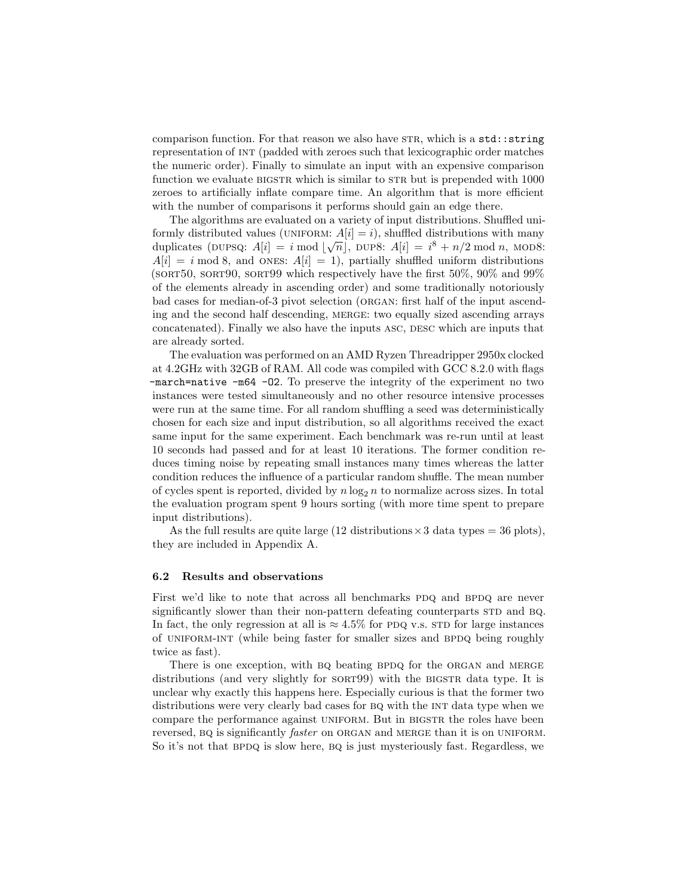comparison function. For that reason we also have STR, which is a std::string representation of int (padded with zeroes such that lexicographic order matches the numeric order). Finally to simulate an input with an expensive comparison function we evaluate BIGSTR which is similar to STR but is prepended with 1000 zeroes to artificially inflate compare time. An algorithm that is more efficient with the number of comparisons it performs should gain an edge there.

The algorithms are evaluated on a variety of input distributions. Shuffled uniformly distributed values (UNIFORM:  $A[i] = i$ ), shuffled distributions with many duplicates (DUPSQ:  $A[i] = i \mod \lfloor \sqrt{n} \rfloor$ , DUP8:  $A[i] = i^8 + n/2 \mod n$ , MOD8:  $A[i] = i \mod 8$ , and ONES:  $A[i] = 1$ , partially shuffled uniform distributions (SORT50, SORT90, SORT99 which respectively have the first  $50\%$ ,  $90\%$  and  $99\%$ of the elements already in ascending order) and some traditionally notoriously bad cases for median-of-3 pivot selection (organ: first half of the input ascending and the second half descending, merge: two equally sized ascending arrays concatenated). Finally we also have the inputs asc, desc which are inputs that are already sorted.

The evaluation was performed on an AMD Ryzen Threadripper 2950x clocked at 4.2GHz with 32GB of RAM. All code was compiled with GCC 8.2.0 with flags -march=native -m64 -O2. To preserve the integrity of the experiment no two instances were tested simultaneously and no other resource intensive processes were run at the same time. For all random shuffling a seed was deterministically chosen for each size and input distribution, so all algorithms received the exact same input for the same experiment. Each benchmark was re-run until at least 10 seconds had passed and for at least 10 iterations. The former condition reduces timing noise by repeating small instances many times whereas the latter condition reduces the influence of a particular random shuffle. The mean number of cycles spent is reported, divided by  $n \log_2 n$  to normalize across sizes. In total the evaluation program spent 9 hours sorting (with more time spent to prepare input distributions).

As the full results are quite large (12 distributions  $\times$  3 data types = 36 plots), they are included in Appendix A.

#### 6.2 Results and observations

First we'd like to note that across all benchmarks PDQ and BPDQ are never significantly slower than their non-pattern defeating counterparts STD and BQ. In fact, the only regression at all is  $\approx 4.5\%$  for PDQ v.s. STD for large instances of UNIFORM-INT (while being faster for smaller sizes and BPDQ being roughly twice as fast).

There is one exception, with BQ beating BPDQ for the ORGAN and MERGE distributions (and very slightly for  $SORT99$ ) with the BIGSTR data type. It is unclear why exactly this happens here. Especially curious is that the former two distributions were very clearly bad cases for BQ with the INT data type when we compare the performance against UNIFORM. But in BIGSTR the roles have been reversed, BQ is significantly *faster* on ORGAN and MERGE than it is on UNIFORM. So it's not that BPDQ is slow here, BQ is just mysteriously fast. Regardless, we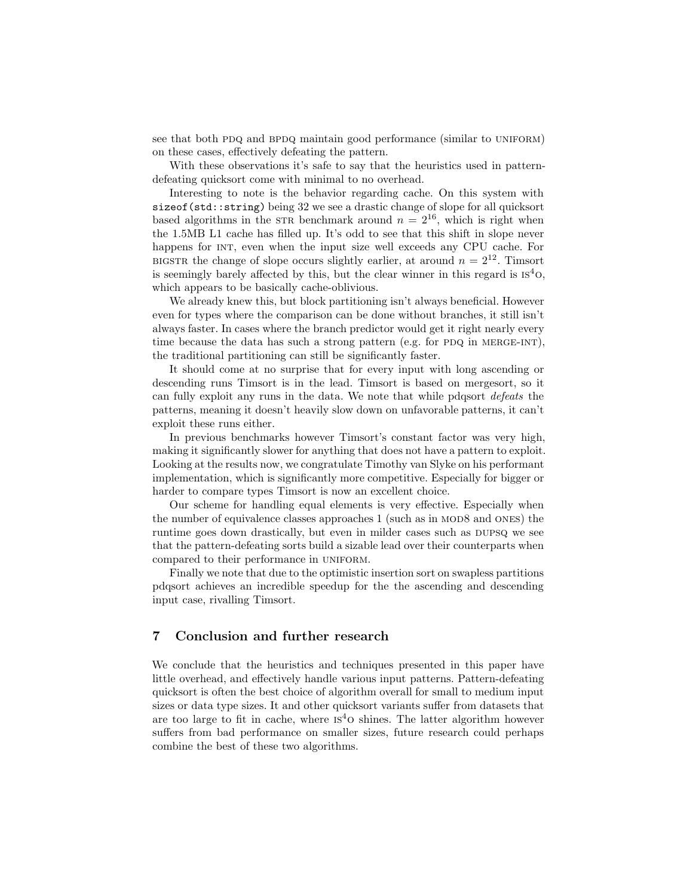see that both PDQ and BPDQ maintain good performance (similar to UNIFORM) on these cases, effectively defeating the pattern.

With these observations it's safe to say that the heuristics used in patterndefeating quicksort come with minimal to no overhead.

Interesting to note is the behavior regarding cache. On this system with sizeof(std::string) being 32 we see a drastic change of slope for all quicksort based algorithms in the STR benchmark around  $n = 2^{16}$ , which is right when the 1.5MB L1 cache has filled up. It's odd to see that this shift in slope never happens for INT, even when the input size well exceeds any CPU cache. For BIGSTR the change of slope occurs slightly earlier, at around  $n = 2^{12}$ . Timsort is seemingly barely affected by this, but the clear winner in this regard is  $1S<sup>4</sup>O$ , which appears to be basically cache-oblivious.

We already knew this, but block partitioning isn't always beneficial. However even for types where the comparison can be done without branches, it still isn't always faster. In cases where the branch predictor would get it right nearly every time because the data has such a strong pattern (e.g. for PDQ in MERGE-INT), the traditional partitioning can still be significantly faster.

It should come at no surprise that for every input with long ascending or descending runs Timsort is in the lead. Timsort is based on mergesort, so it can fully exploit any runs in the data. We note that while pdqsort defeats the patterns, meaning it doesn't heavily slow down on unfavorable patterns, it can't exploit these runs either.

In previous benchmarks however Timsort's constant factor was very high, making it significantly slower for anything that does not have a pattern to exploit. Looking at the results now, we congratulate Timothy van Slyke on his performant implementation, which is significantly more competitive. Especially for bigger or harder to compare types Timsort is now an excellent choice.

Our scheme for handling equal elements is very effective. Especially when the number of equivalence classes approaches 1 (such as in MOD8 and ONES) the runtime goes down drastically, but even in milder cases such as DUPSQ we see that the pattern-defeating sorts build a sizable lead over their counterparts when compared to their performance in UNIFORM.

Finally we note that due to the optimistic insertion sort on swapless partitions pdqsort achieves an incredible speedup for the the ascending and descending input case, rivalling Timsort.

## 7 Conclusion and further research

We conclude that the heuristics and techniques presented in this paper have little overhead, and effectively handle various input patterns. Pattern-defeating quicksort is often the best choice of algorithm overall for small to medium input sizes or data type sizes. It and other quicksort variants suffer from datasets that are too large to fit in cache, where  $I<sup>4</sup>O$  shines. The latter algorithm however suffers from bad performance on smaller sizes, future research could perhaps combine the best of these two algorithms.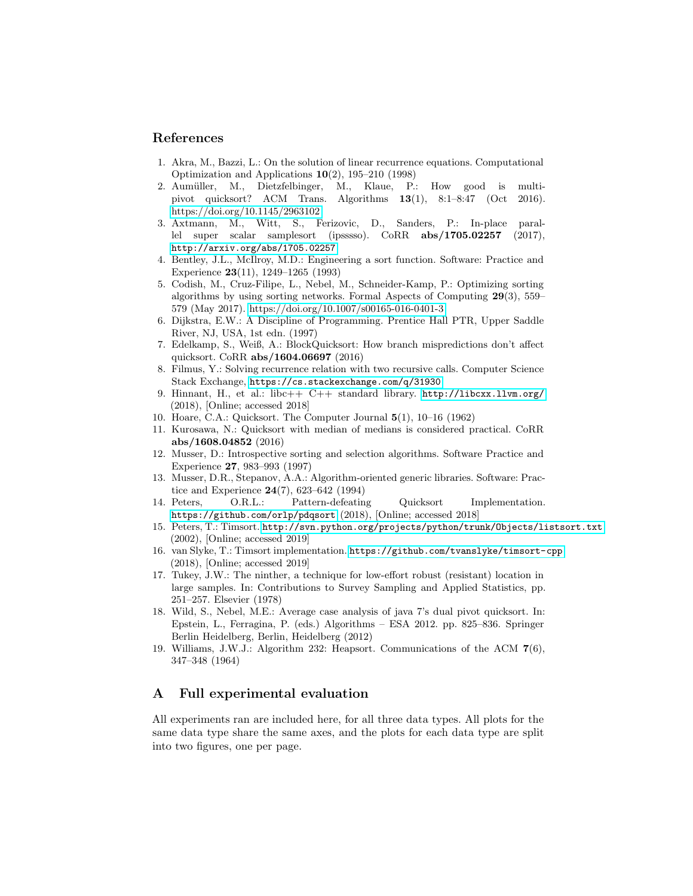### <span id="page-13-13"></span>References

- 1. Akra, M., Bazzi, L.: On the solution of linear recurrence equations. Computational Optimization and Applications 10(2), 195–210 (1998)
- <span id="page-13-7"></span>2. Aumüller, M., Dietzfelbinger, M., Klaue, P.: How good is multipivot quicksort? ACM Trans. Algorithms 13(1), 8:1–8:47 (Oct 2016). <https://doi.org/10.1145/2963102>
- <span id="page-13-8"></span>3. Axtmann, M., Witt, S., Ferizovic, D., Sanders, P.: In-place parallel super scalar samplesort (ipsssso). CoRR abs/1705.02257 (2017), <http://arxiv.org/abs/1705.02257>
- <span id="page-13-12"></span>4. Bentley, J.L., McIlroy, M.D.: Engineering a sort function. Software: Practice and Experience 23(11), 1249–1265 (1993)
- <span id="page-13-4"></span>5. Codish, M., Cruz-Filipe, L., Nebel, M., Schneider-Kamp, P.: Optimizing sorting algorithms by using sorting networks. Formal Aspects of Computing 29(3), 559– 579 (May 2017).<https://doi.org/10.1007/s00165-016-0401-3>
- <span id="page-13-11"></span>6. Dijkstra, E.W.: A Discipline of Programming. Prentice Hall PTR, Upper Saddle River, NJ, USA, 1st edn. (1997)
- <span id="page-13-5"></span>7. Edelkamp, S., Weiß, A.: BlockQuicksort: How branch mispredictions don't affect quicksort. CoRR abs/1604.06697 (2016)
- <span id="page-13-14"></span>8. Filmus, Y.: Solving recurrence relation with two recursive calls. Computer Science Stack Exchange, <https://cs.stackexchange.com/q/31930>
- <span id="page-13-16"></span>9. Hinnant, H., et al.: libc++ C++ standard library. <http://libcxx.llvm.org/> (2018), [Online; accessed 2018]
- <span id="page-13-10"></span><span id="page-13-2"></span>10. Hoare, C.A.: Quicksort. The Computer Journal 5(1), 10–16 (1962)
- 11. Kurosawa, N.: Quicksort with median of medians is considered practical. CoRR abs/1608.04852 (2016)
- <span id="page-13-0"></span>12. Musser, D.: Introspective sorting and selection algorithms. Software Practice and Experience 27, 983–993 (1997)
- <span id="page-13-15"></span>13. Musser, D.R., Stepanov, A.A.: Algorithm-oriented generic libraries. Software: Practice and Experience 24(7), 623–642 (1994)
- <span id="page-13-3"></span>14. Peters, O.R.L.: Pattern-defeating Quicksort Implementation. <https://github.com/orlp/pdqsort> (2018), [Online; accessed 2018]
- <span id="page-13-17"></span>15. Peters, T.: Timsort. <http://svn.python.org/projects/python/trunk/Objects/listsort.txt> (2002), [Online; accessed 2019]
- <span id="page-13-18"></span>16. van Slyke, T.: Timsort implementation. <https://github.com/tvanslyke/timsort-cpp> (2018), [Online; accessed 2019]
- <span id="page-13-9"></span>17. Tukey, J.W.: The ninther, a technique for low-effort robust (resistant) location in large samples. In: Contributions to Survey Sampling and Applied Statistics, pp. 251–257. Elsevier (1978)
- <span id="page-13-6"></span>18. Wild, S., Nebel, M.E.: Average case analysis of java 7's dual pivot quicksort. In: Epstein, L., Ferragina, P. (eds.) Algorithms – ESA 2012. pp. 825–836. Springer Berlin Heidelberg, Berlin, Heidelberg (2012)
- <span id="page-13-1"></span>19. Williams, J.W.J.: Algorithm 232: Heapsort. Communications of the ACM 7(6), 347–348 (1964)

# A Full experimental evaluation

All experiments ran are included here, for all three data types. All plots for the same data type share the same axes, and the plots for each data type are split into two figures, one per page.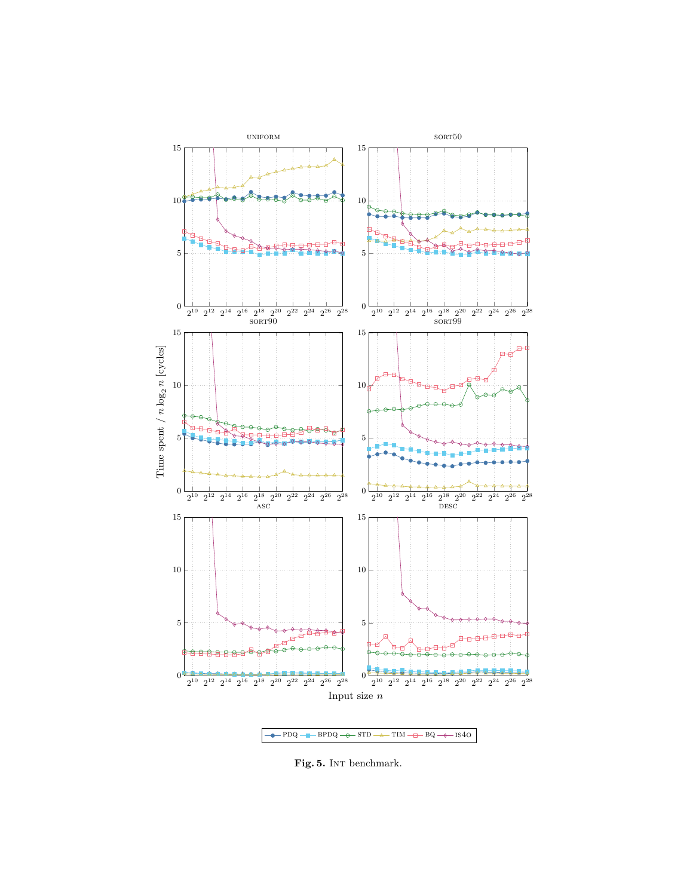

Fig. 5. INT benchmark.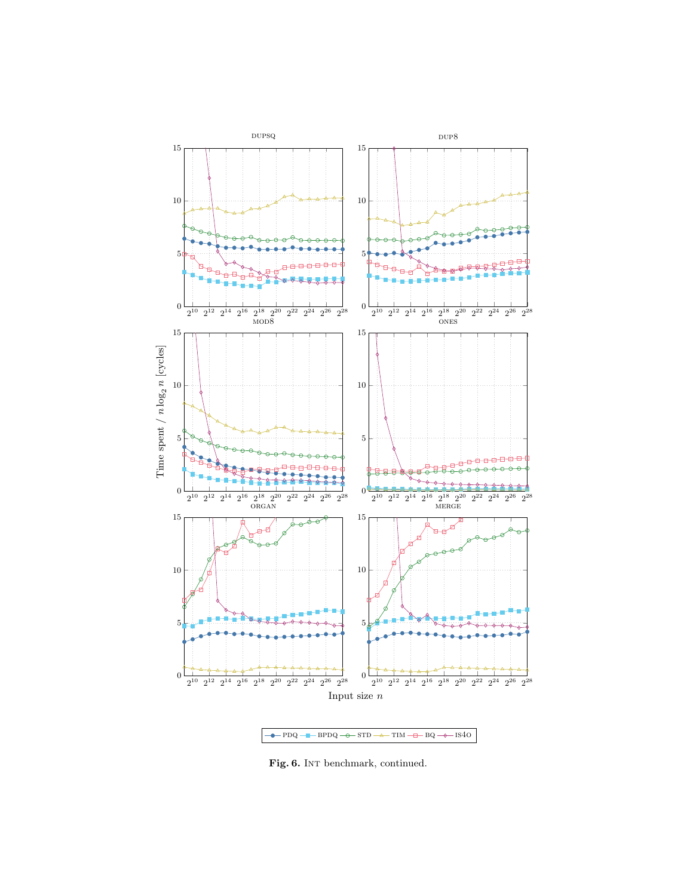

Fig. 6. INT benchmark, continued.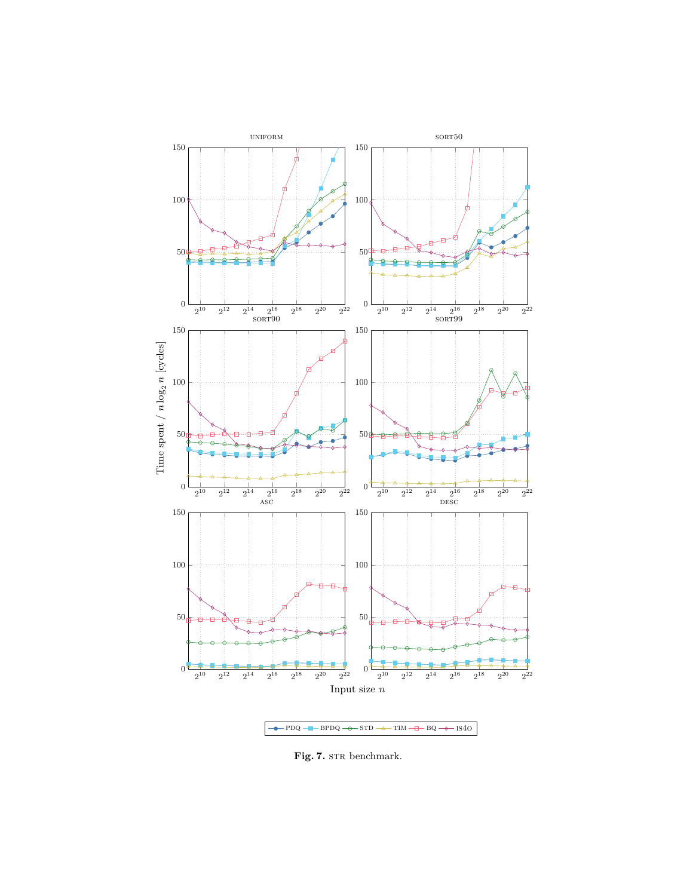

 ${\bf Fig. 7.}$  STR benchmark.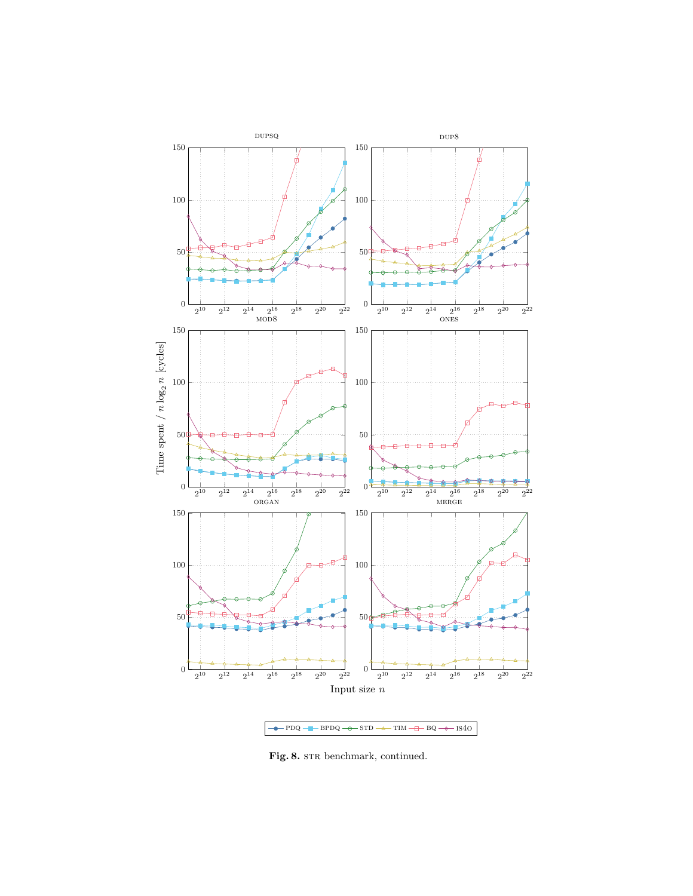

Fig. 8. STR benchmark, continued.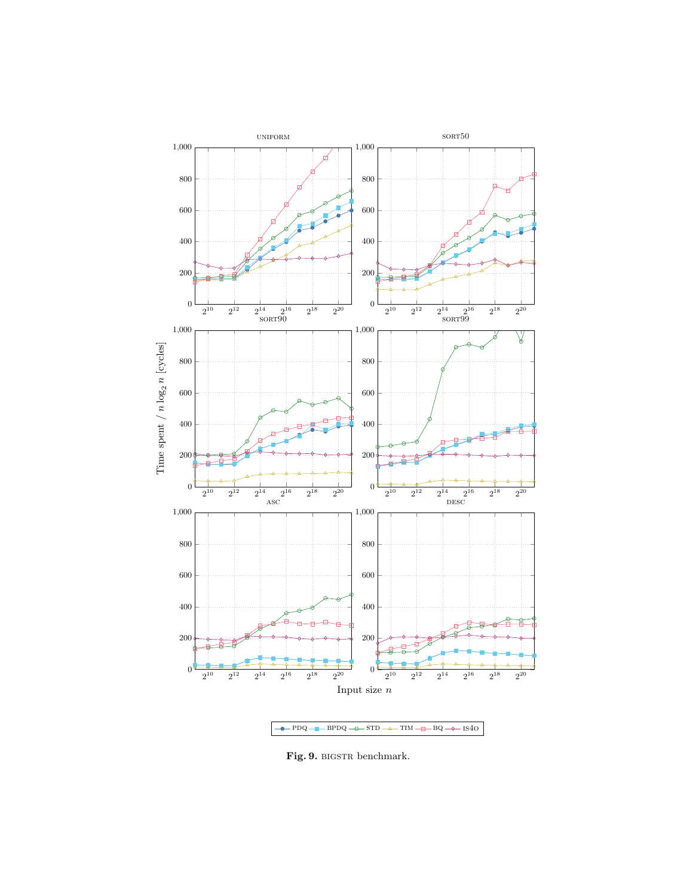

Fig. 9. BIGSTR benchmark.